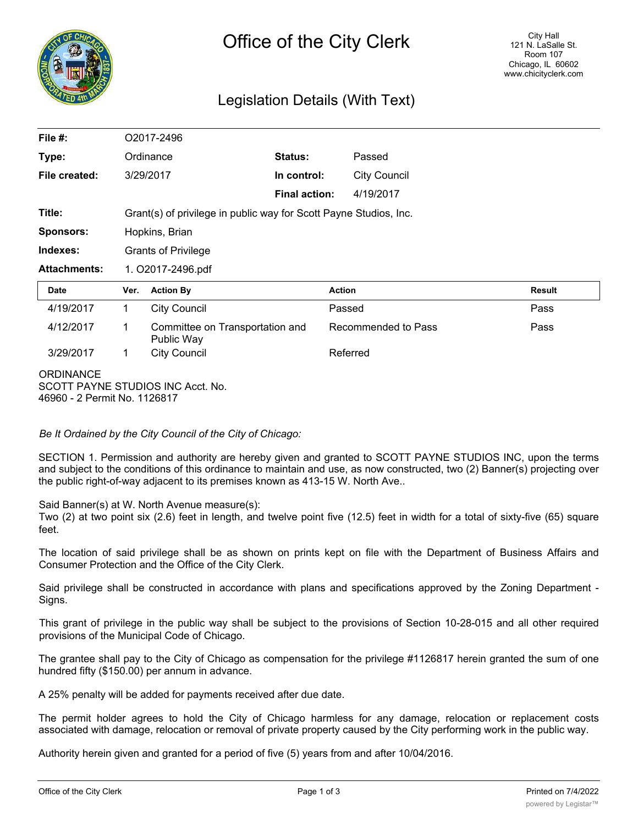

# Legislation Details (With Text)

| File $#$ :                                       | O2017-2496                                                        |                                               |                      |                     |               |
|--------------------------------------------------|-------------------------------------------------------------------|-----------------------------------------------|----------------------|---------------------|---------------|
| Type:                                            | Ordinance                                                         |                                               | Status:              | Passed              |               |
| File created:                                    |                                                                   | 3/29/2017                                     | In control:          | <b>City Council</b> |               |
|                                                  |                                                                   |                                               | <b>Final action:</b> | 4/19/2017           |               |
| Title:                                           | Grant(s) of privilege in public way for Scott Payne Studios, Inc. |                                               |                      |                     |               |
| <b>Sponsors:</b>                                 | Hopkins, Brian                                                    |                                               |                      |                     |               |
| Indexes:                                         | <b>Grants of Privilege</b>                                        |                                               |                      |                     |               |
| <b>Attachments:</b>                              | 1. O2017-2496.pdf                                                 |                                               |                      |                     |               |
| Date                                             | Ver.                                                              | <b>Action By</b>                              |                      | <b>Action</b>       | <b>Result</b> |
| 4/19/2017                                        | 1.                                                                | <b>City Council</b>                           |                      | Passed              | Pass          |
| 4/12/2017                                        | 1                                                                 | Committee on Transportation and<br>Public Way |                      | Recommended to Pass | Pass          |
| 3/29/2017                                        | 1                                                                 | <b>City Council</b>                           |                      | Referred            |               |
| <b>ORDINANCE</b><br>46960 - 2 Permit No. 1126817 |                                                                   | SCOTT PAYNE STUDIOS INC Acct. No.             |                      |                     |               |

*Be It Ordained by the City Council of the City of Chicago:*

SECTION 1. Permission and authority are hereby given and granted to SCOTT PAYNE STUDIOS INC, upon the terms and subject to the conditions of this ordinance to maintain and use, as now constructed, two (2) Banner(s) projecting over the public right-of-way adjacent to its premises known as 413-15 W. North Ave..

Said Banner(s) at W. North Avenue measure(s):

Two (2) at two point six (2.6) feet in length, and twelve point five (12.5) feet in width for a total of sixty-five (65) square feet.

The location of said privilege shall be as shown on prints kept on file with the Department of Business Affairs and Consumer Protection and the Office of the City Clerk.

Said privilege shall be constructed in accordance with plans and specifications approved by the Zoning Department - Signs.

This grant of privilege in the public way shall be subject to the provisions of Section 10-28-015 and all other required provisions of the Municipal Code of Chicago.

The grantee shall pay to the City of Chicago as compensation for the privilege #1126817 herein granted the sum of one hundred fifty (\$150.00) per annum in advance.

A 25% penalty will be added for payments received after due date.

The permit holder agrees to hold the City of Chicago harmless for any damage, relocation or replacement costs associated with damage, relocation or removal of private property caused by the City performing work in the public way.

Authority herein given and granted for a period of five (5) years from and after 10/04/2016.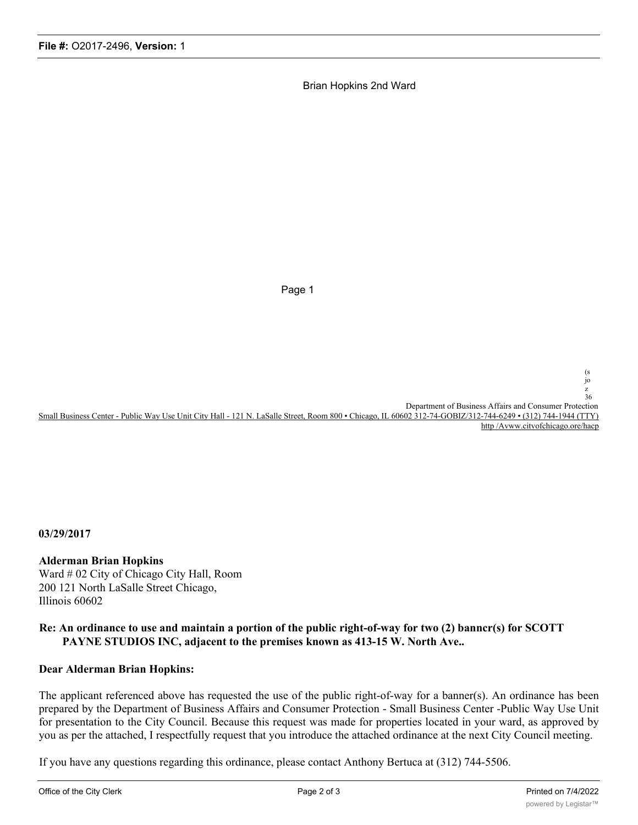Brian Hopkins 2nd Ward

Page 1

jo z  $36$ Department of Business Affairs and Consumer Protection Small Business Center - Public Way Use Unit City Hall - 121 N. LaSalle Street, Room 800 • Chicago, IL 60602 312-74-GOBIZ/312-744-6249 • (312) 744-1944 (TTY)

http /Avww.citvofchicago.ore/hacp

(s

**03/29/2017**

### **Alderman Brian Hopkins**

Ward # 02 City of Chicago City Hall, Room 200 121 North LaSalle Street Chicago, Illinois 60602

## **Re: An ordinance to use and maintain a portion of the public right-of-way for two (2) banncr(s) for SCOTT PAYNE STUDIOS INC, adjacent to the premises known as 413-15 W. North Ave..**

### **Dear Alderman Brian Hopkins:**

The applicant referenced above has requested the use of the public right-of-way for a banner(s). An ordinance has been prepared by the Department of Business Affairs and Consumer Protection - Small Business Center -Public Way Use Unit for presentation to the City Council. Because this request was made for properties located in your ward, as approved by you as per the attached, I respectfully request that you introduce the attached ordinance at the next City Council meeting.

If you have any questions regarding this ordinance, please contact Anthony Bertuca at (312) 744-5506.